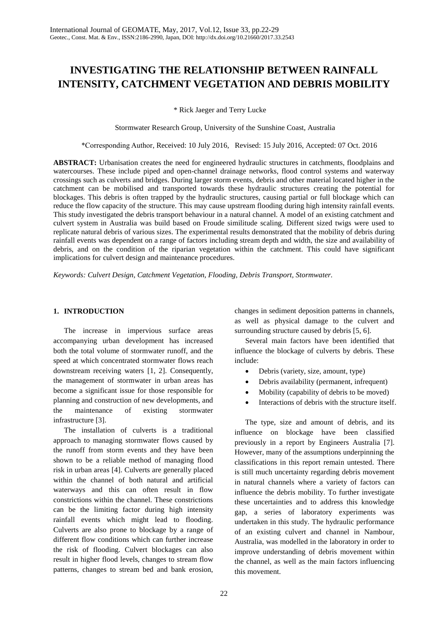# **INVESTIGATING THE RELATIONSHIP BETWEEN RAINFALL INTENSITY, CATCHMENT VEGETATION AND DEBRIS MOBILITY**

\* Rick Jaeger and Terry Lucke

Stormwater Research Group, University of the Sunshine Coast, Australia

\*Corresponding Author, Received: 10 July 2016, Revised: 15 July 2016, Accepted: 07 Oct. 2016

**ABSTRACT:** Urbanisation creates the need for engineered hydraulic structures in catchments, floodplains and watercourses. These include piped and open-channel drainage networks, flood control systems and waterway crossings such as culverts and bridges. During larger storm events, debris and other material located higher in the catchment can be mobilised and transported towards these hydraulic structures creating the potential for blockages. This debris is often trapped by the hydraulic structures, causing partial or full blockage which can reduce the flow capacity of the structure. This may cause upstream flooding during high intensity rainfall events. This study investigated the debris transport behaviour in a natural channel. A model of an existing catchment and culvert system in Australia was build based on Froude similitude scaling. Different sized twigs were used to replicate natural debris of various sizes. The experimental results demonstrated that the mobility of debris during rainfall events was dependent on a range of factors including stream depth and width, the size and availability of debris, and on the condition of the riparian vegetation within the catchment. This could have significant implications for culvert design and maintenance procedures.

*Keywords: Culvert Design, Catchment Vegetation, Flooding, Debris Transport, Stormwater.* 

#### **1. INTRODUCTION**

The increase in impervious surface areas accompanying urban development has increased both the total volume of stormwater runoff, and the speed at which concentrated stormwater flows reach downstream receiving waters [1, 2]. Consequently, the management of stormwater in urban areas has become a significant issue for those responsible for planning and construction of new developments, and the maintenance of existing stormwater infrastructure [3].

The installation of culverts is a traditional approach to managing stormwater flows caused by the runoff from storm events and they have been shown to be a reliable method of managing flood risk in urban areas [4]. Culverts are generally placed within the channel of both natural and artificial waterways and this can often result in flow constrictions within the channel. These constrictions can be the limiting factor during high intensity rainfall events which might lead to flooding. Culverts are also prone to blockage by a range of different flow conditions which can further increase the risk of flooding. Culvert blockages can also result in higher flood levels, changes to stream flow patterns, changes to stream bed and bank erosion,

changes in sediment deposition patterns in channels, as well as physical damage to the culvert and surrounding structure caused by debris [5, 6].

Several main factors have been identified that influence the blockage of culverts by debris. These include:

- Debris (variety, size, amount, type)
- Debris availability (permanent, infrequent)
- Mobility (capability of debris to be moved)
- Interactions of debris with the structure itself.

The type, size and amount of debris, and its influence on blockage have been classified previously in a report by Engineers Australia [7]. However, many of the assumptions underpinning the classifications in this report remain untested. There is still much uncertainty regarding debris movement in natural channels where a variety of factors can influence the debris mobility. To further investigate these uncertainties and to address this knowledge gap, a series of laboratory experiments was undertaken in this study. The hydraulic performance of an existing culvert and channel in Nambour, Australia, was modelled in the laboratory in order to improve understanding of debris movement within the channel, as well as the main factors influencing this movement.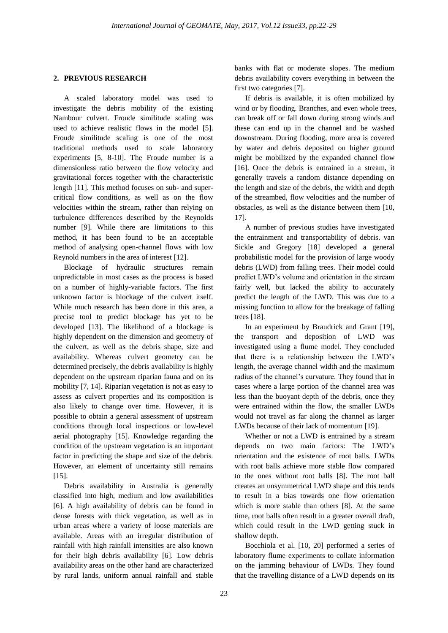# **2. PREVIOUS RESEARCH**

A scaled laboratory model was used to investigate the debris mobility of the existing Nambour culvert. Froude similitude scaling was used to achieve realistic flows in the model [5]. Froude similitude scaling is one of the most traditional methods used to scale laboratory experiments [5, 8-10]. The Froude number is a dimensionless ratio between the flow velocity and gravitational forces together with the characteristic length [11]. This method focuses on sub- and supercritical flow conditions, as well as on the flow velocities within the stream, rather than relying on turbulence differences described by the Reynolds number [9]. While there are limitations to this method, it has been found to be an acceptable method of analysing open-channel flows with low Reynold numbers in the area of interest [12].

Blockage of hydraulic structures remain unpredictable in most cases as the process is based on a number of highly-variable factors. The first unknown factor is blockage of the culvert itself. While much research has been done in this area, a precise tool to predict blockage has yet to be developed [13]. The likelihood of a blockage is highly dependent on the dimension and geometry of the culvert, as well as the debris shape, size and availability. Whereas culvert geometry can be determined precisely, the debris availability is highly dependent on the upstream riparian fauna and on its mobility [7, 14]. Riparian vegetation is not as easy to assess as culvert properties and its composition is also likely to change over time. However, it is possible to obtain a general assessment of upstream conditions through local inspections or low-level aerial photography [15]. Knowledge regarding the condition of the upstream vegetation is an important factor in predicting the shape and size of the debris. However, an element of uncertainty still remains  $[15]$ .

Debris availability in Australia is generally classified into high, medium and low availabilities [6]. A high availability of debris can be found in dense forests with thick vegetation, as well as in urban areas where a variety of loose materials are available. Areas with an irregular distribution of rainfall with high rainfall intensities are also known for their high debris availability [6]. Low debris availability areas on the other hand are characterized by rural lands, uniform annual rainfall and stable

banks with flat or moderate slopes. The medium debris availability covers everything in between the first two categories [7].

If debris is available, it is often mobilized by wind or by flooding. Branches, and even whole trees, can break off or fall down during strong winds and these can end up in the channel and be washed downstream. During flooding, more area is covered by water and debris deposited on higher ground might be mobilized by the expanded channel flow [16]. Once the debris is entrained in a stream, it generally travels a random distance depending on the length and size of the debris, the width and depth of the streambed, flow velocities and the number of obstacles, as well as the distance between them [10, 17].

A number of previous studies have investigated the entrainment and transportability of debris. van Sickle and Gregory [18] developed a general probabilistic model for the provision of large woody debris (LWD) from falling trees. Their model could predict LWD's volume and orientation in the stream fairly well, but lacked the ability to accurately predict the length of the LWD. This was due to a missing function to allow for the breakage of falling trees [18].

In an experiment by Braudrick and Grant [19], the transport and deposition of LWD was investigated using a flume model. They concluded that there is a relationship between the LWD's length, the average channel width and the maximum radius of the channel's curvature. They found that in cases where a large portion of the channel area was less than the buoyant depth of the debris, once they were entrained within the flow, the smaller LWDs would not travel as far along the channel as larger LWDs because of their lack of momentum [19].

Whether or not a LWD is entrained by a stream depends on two main factors: The LWD's orientation and the existence of root balls. LWDs with root balls achieve more stable flow compared to the ones without root balls [8]. The root ball creates an unsymmetrical LWD shape and this tends to result in a bias towards one flow orientation which is more stable than others [8]. At the same time, root balls often result in a greater overall draft, which could result in the LWD getting stuck in shallow depth.

Bocchiola et al. [10, 20] performed a series of laboratory flume experiments to collate information on the jamming behaviour of LWDs. They found that the travelling distance of a LWD depends on its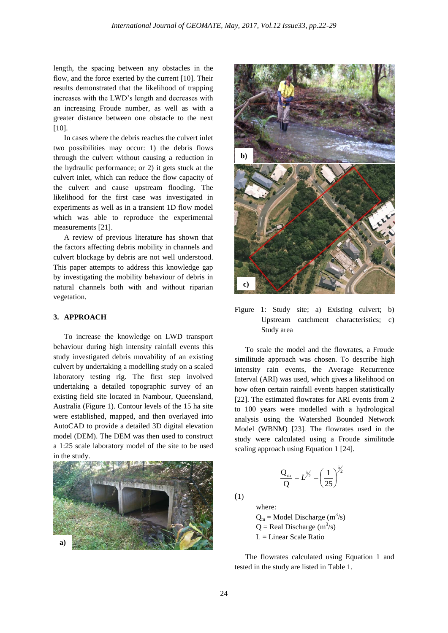length, the spacing between any obstacles in the flow, and the force exerted by the current [10]. Their results demonstrated that the likelihood of trapping increases with the LWD's length and decreases with an increasing Froude number, as well as with a greater distance between one obstacle to the next  $[10]$ .

In cases where the debris reaches the culvert inlet two possibilities may occur: 1) the debris flows through the culvert without causing a reduction in the hydraulic performance; or 2) it gets stuck at the culvert inlet, which can reduce the flow capacity of the culvert and cause upstream flooding. The likelihood for the first case was investigated in experiments as well as in a transient 1D flow model which was able to reproduce the experimental measurements [21].

A review of previous literature has shown that the factors affecting debris mobility in channels and culvert blockage by debris are not well understood. This paper attempts to address this knowledge gap by investigating the mobility behaviour of debris in natural channels both with and without riparian vegetation.

# **3. APPROACH**

To increase the knowledge on LWD transport behaviour during high intensity rainfall events this study investigated debris movability of an existing culvert by undertaking a modelling study on a scaled laboratory testing rig. The first step involved undertaking a detailed topographic survey of an existing field site located in Nambour, Queensland, Australia (Figure 1). Contour levels of the 15 ha site were established, mapped, and then overlayed into AutoCAD to provide a detailed 3D digital elevation model (DEM). The DEM was then used to construct a 1:25 scale laboratory model of the site to be used in the study.





Figure 1: Study site; a) Existing culvert; b) Upstream catchment characteristics; c) Study area

To scale the model and the flowrates, a Froude similitude approach was chosen. To describe high intensity rain events, the Average Recurrence Interval (ARI) was used, which gives a likelihood on how often certain rainfall events happen statistically [22]. The estimated flowrates for ARI events from 2 to 100 years were modelled with a hydrological analysis using the Watershed Bounded Network Model (WBNM) [23]. The flowrates used in the study were calculated using a Froude similitude scaling approach using Equation 1 [24].

$$
\frac{Q_m}{Q} = L^{5/2} = \left(\frac{1}{25}\right)^{5/2}
$$

(1)

where:

 $Q_m$  = Model Discharge (m<sup>3</sup>/s)  $Q =$  Real Discharge (m<sup>3</sup>/s)  $L =$ Linear Scale Ratio

The flowrates calculated using Equation 1 and tested in the study are listed in Table 1.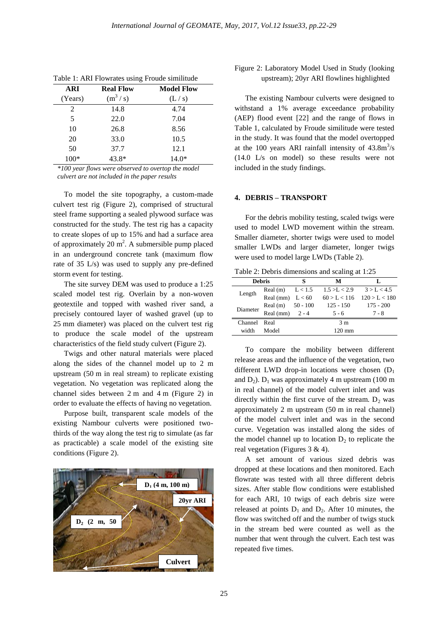| <b>ARI</b> | <b>Real Flow</b> | <b>Model Flow</b> |  |  |
|------------|------------------|-------------------|--|--|
| (Years)    | $(m^3/s)$        | (L/s)             |  |  |
| 2          | 14.8             | 4.74              |  |  |
| 5          | 22.0             | 7.04              |  |  |
| 10         | 26.8             | 8.56              |  |  |
| 20         | 33.0             | 10.5              |  |  |
| 50         | 37.7             | 12.1              |  |  |
| 100*       | 43.8*            | $14.0*$           |  |  |

Table 1: ARI Flowrates using Froude similitude

*\*100 year flows were observed to overtop the model culvert are not included in the paper results*

To model the site topography, a custom-made culvert test rig (Figure 2), comprised of structural steel frame supporting a sealed plywood surface was constructed for the study. The test rig has a capacity to create slopes of up to 15% and had a surface area of approximately 20  $m^2$ . A submersible pump placed in an underground concrete tank (maximum flow rate of 35 L/s) was used to supply any pre-defined storm event for testing.

The site survey DEM was used to produce a 1:25 scaled model test rig. Overlain by a non-woven geotextile and topped with washed river sand, a precisely contoured layer of washed gravel (up to 25 mm diameter) was placed on the culvert test rig to produce the scale model of the upstream characteristics of the field study culvert (Figure 2).

Twigs and other natural materials were placed along the sides of the channel model up to 2 m upstream (50 m in real stream) to replicate existing vegetation. No vegetation was replicated along the channel sides between 2 m and 4 m (Figure 2) in order to evaluate the effects of having no vegetation.

Purpose built, transparent scale models of the existing Nambour culverts were positioned twothirds of the way along the test rig to simulate (as far as practicable) a scale model of the existing site conditions (Figure 2).



# Figure 2: Laboratory Model Used in Study (looking upstream); 20yr ARI flowlines highlighted

The existing Nambour culverts were designed to withstand a 1% average exceedance probability (AEP) flood event [22] and the range of flows in Table 1, calculated by Froude similitude were tested in the study. It was found that the model overtopped at the 100 years ARI rainfall intensity of  $43.8 \text{m}^3/\text{s}$ (14.0 L/s on model) so these results were not included in the study findings.

#### **4. DEBRIS – TRANSPORT**

For the debris mobility testing, scaled twigs were used to model LWD movement within the stream. Smaller diameter, shorter twigs were used to model smaller LWDs and larger diameter, longer twigs were used to model large LWDs (Table 2).

Table 2: Debris dimensions and scaling at 1:25

| <b>Debris</b>  |                      | s | м                |               |
|----------------|----------------------|---|------------------|---------------|
| Length         | Real $(m)$ $L < 1.5$ |   | 1.5 > L < 2.9    | 3 > L < 4.5   |
|                | Real (mm) $L < 60$   |   | 60 > L < 116     | 120 > L < 180 |
| Diameter       | Real $(m)$ 50 - 100  |   | $125 - 150$      | $175 - 200$   |
|                | Real (mm) $2 - 4$    |   | $5 - 6$          | $7 - 8$       |
| Channel        | Real                 |   | 3 <sub>m</sub>   |               |
| width<br>Model |                      |   | $120 \text{ mm}$ |               |

To compare the mobility between different release areas and the influence of the vegetation, two different LWD drop-in locations were chosen  $(D_1)$ and  $D_2$ ).  $D_1$  was approximately 4 m upstream (100 m in real channel) of the model culvert inlet and was directly within the first curve of the stream.  $D_2$  was approximately 2 m upstream (50 m in real channel) of the model culvert inlet and was in the second curve. Vegetation was installed along the sides of the model channel up to location  $D_2$  to replicate the real vegetation (Figures 3 & 4).

A set amount of various sized debris was dropped at these locations and then monitored. Each flowrate was tested with all three different debris sizes. After stable flow conditions were established for each ARI, 10 twigs of each debris size were released at points  $D_1$  and  $D_2$ . After 10 minutes, the flow was switched off and the number of twigs stuck in the stream bed were counted as well as the number that went through the culvert. Each test was repeated five times.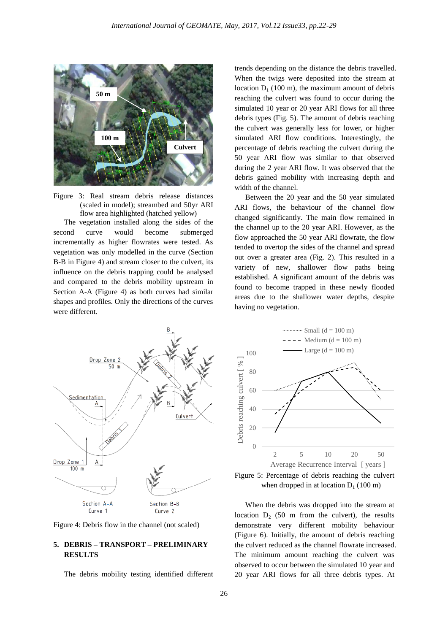

Figure 3: Real stream debris release distances (scaled in model); streambed and 50yr ARI flow area highlighted (hatched yellow)

The vegetation installed along the sides of the second curve would become submerged incrementally as higher flowrates were tested. As vegetation was only modelled in the curve (Section B-B in Figure 4) and stream closer to the culvert, its influence on the debris trapping could be analysed and compared to the debris mobility upstream in Section A-A (Figure 4) as both curves had similar shapes and profiles. Only the directions of the curves were different.

trends depending on the distance the debris travelled. When the twigs were deposited into the stream at location  $D_1$  (100 m), the maximum amount of debris reaching the culvert was found to occur during the simulated 10 year or 20 year ARI flows for all three debris types (Fig. 5). The amount of debris reaching the culvert was generally less for lower, or higher simulated ARI flow conditions. Interestingly, the percentage of debris reaching the culvert during the 50 year ARI flow was similar to that observed during the 2 year ARI flow. It was observed that the debris gained mobility with increasing depth and width of the channel.

Between the 20 year and the 50 year simulated ARI flows, the behaviour of the channel flow changed significantly. The main flow remained in the channel up to the 20 year ARI. However, as the flow approached the 50 year ARI flowrate, the flow tended to overtop the sides of the channel and spread out over a greater area (Fig. 2). This resulted in a variety of new, shallower flow paths being established. A significant amount of the debris was found to become trapped in these newly flooded areas due to the shallower water depths, despite having no vegetation.



Figure 4: Debris flow in the channel (not scaled)

# **5. DEBRIS – TRANSPORT – PRELIMINARY RESULTS**

The debris mobility testing identified different



Figure 5: Percentage of debris reaching the culvert when dropped in at location  $D_1$  (100 m)

When the debris was dropped into the stream at location  $D_2$  (50 m from the culvert), the results demonstrate very different mobility behaviour (Figure 6). Initially, the amount of debris reaching the culvert reduced as the channel flowrate increased. The minimum amount reaching the culvert was observed to occur between the simulated 10 year and 20 year ARI flows for all three debris types. At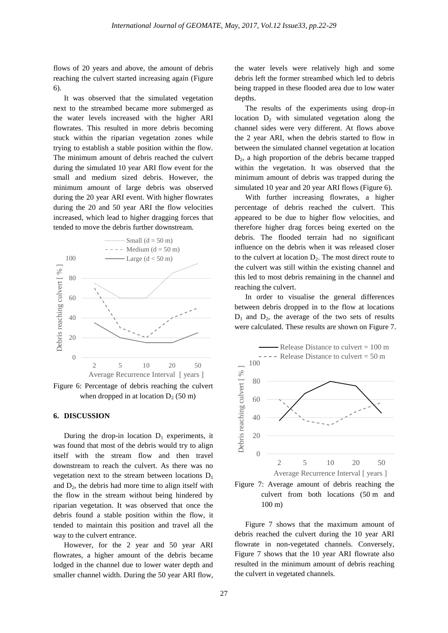flows of 20 years and above, the amount of debris reaching the culvert started increasing again (Figure 6).

It was observed that the simulated vegetation next to the streambed became more submerged as the water levels increased with the higher ARI flowrates. This resulted in more debris becoming stuck within the riparian vegetation zones while trying to establish a stable position within the flow. The minimum amount of debris reached the culvert during the simulated 10 year ARI flow event for the small and medium sized debris. However, the minimum amount of large debris was observed during the 20 year ARI event. With higher flowrates during the 20 and 50 year ARI the flow velocities increased, which lead to higher dragging forces that tended to move the debris further downstream.



Figure 6: Percentage of debris reaching the culvert when dropped in at location  $D_2$  (50 m)

#### **6. DISCUSSION**

During the drop-in location  $D_1$  experiments, it was found that most of the debris would try to align itself with the stream flow and then travel downstream to reach the culvert. As there was no vegetation next to the stream between locations  $D_1$ and  $D_2$ , the debris had more time to align itself with the flow in the stream without being hindered by riparian vegetation. It was observed that once the debris found a stable position within the flow, it tended to maintain this position and travel all the way to the culvert entrance.

However, for the 2 year and 50 year ARI flowrates, a higher amount of the debris became lodged in the channel due to lower water depth and smaller channel width. During the 50 year ARI flow, the water levels were relatively high and some debris left the former streambed which led to debris being trapped in these flooded area due to low water depths.

The results of the experiments using drop-in location  $D_2$  with simulated vegetation along the channel sides were very different. At flows above the 2 year ARI, when the debris started to flow in between the simulated channel vegetation at location  $D_2$ , a high proportion of the debris became trapped within the vegetation. It was observed that the minimum amount of debris was trapped during the simulated 10 year and 20 year ARI flows (Figure 6).

With further increasing flowrates, a higher percentage of debris reached the culvert. This appeared to be due to higher flow velocities, and therefore higher drag forces being exerted on the debris. The flooded terrain had no significant influence on the debris when it was released closer to the culvert at location  $D_2$ . The most direct route to the culvert was still within the existing channel and this led to most debris remaining in the channel and reaching the culvert.

In order to visualise the general differences between debris dropped in to the flow at locations  $D_1$  and  $D_2$ , the average of the two sets of results were calculated. These results are shown on Figure 7.





Figure 7 shows that the maximum amount of debris reached the culvert during the 10 year ARI flowrate in non-vegetated channels. Conversely, Figure 7 shows that the 10 year ARI flowrate also resulted in the minimum amount of debris reaching the culvert in vegetated channels.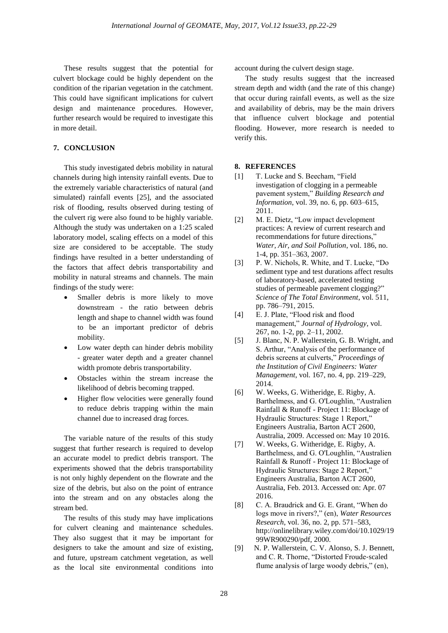These results suggest that the potential for culvert blockage could be highly dependent on the condition of the riparian vegetation in the catchment. This could have significant implications for culvert design and maintenance procedures. However, further research would be required to investigate this in more detail.

## **7. CONCLUSION**

This study investigated debris mobility in natural channels during high intensity rainfall events. Due to the extremely variable characteristics of natural (and simulated) rainfall events [25], and the associated risk of flooding, results observed during testing of the culvert rig were also found to be highly variable. Although the study was undertaken on a 1:25 scaled laboratory model, scaling effects on a model of this size are considered to be acceptable. The study findings have resulted in a better understanding of the factors that affect debris transportability and mobility in natural streams and channels. The main findings of the study were:

- Smaller debris is more likely to move downstream - the ratio between debris length and shape to channel width was found to be an important predictor of debris mobility.
- Low water depth can hinder debris mobility - greater water depth and a greater channel width promote debris transportability.
- Obstacles within the stream increase the likelihood of debris becoming trapped.
- Higher flow velocities were generally found to reduce debris trapping within the main channel due to increased drag forces.

The variable nature of the results of this study suggest that further research is required to develop an accurate model to predict debris transport. The experiments showed that the debris transportability is not only highly dependent on the flowrate and the size of the debris, but also on the point of entrance into the stream and on any obstacles along the stream bed.

The results of this study may have implications for culvert cleaning and maintenance schedules. They also suggest that it may be important for designers to take the amount and size of existing, and future, upstream catchment vegetation, as well as the local site environmental conditions into account during the culvert design stage.

The study results suggest that the increased stream depth and width (and the rate of this change) that occur during rainfall events, as well as the size and availability of debris, may be the main drivers that influence culvert blockage and potential flooding. However, more research is needed to verify this.

#### **8. REFERENCES**

- [1] T. Lucke and S. Beecham, "Field investigation of clogging in a permeable pavement system," *Building Research and Information*, vol. 39, no. 6, pp. 603–615, 2011.
- [2] M. E. Dietz, "Low impact development practices: A review of current research and recommendations for future directions, *Water, Air, and Soil Pollution*, vol. 186, no. 1-4, pp. 351–363, 2007.
- [3] P. W. Nichols, R. White, and T. Lucke, "Do sediment type and test durations affect results of laboratory-based, accelerated testing studies of permeable pavement clogging?" *Science of The Total Environment*, vol. 511, pp. 786–791, 2015.
- [4] E. J. Plate, "Flood risk and flood management," *Journal of Hydrology*, vol. 267, no. 1-2, pp. 2–11, 2002.
- [5] J. Blanc, N. P. Wallerstein, G. B. Wright, and S. Arthur, "Analysis of the performance of debris screens at culverts," *Proceedings of the Institution of Civil Engineers: Water Management*, vol. 167, no. 4, pp. 219–229, 2014.
- [6] W. Weeks, G. Witheridge, E. Rigby, A. Barthelmess, and G. O'Loughlin, "Australien Rainfall & Runoff - Project 11: Blockage of Hydraulic Structures: Stage 1 Report," Engineers Australia, Barton ACT 2600, Australia, 2009. Accessed on: May 10 2016.
- [7] W. Weeks, G. Witheridge, E. Rigby, A. Barthelmess, and G. O'Loughlin, "Australien Rainfall & Runoff - Project 11: Blockage of Hydraulic Structures: Stage 2 Report," Engineers Australia, Barton ACT 2600, Australia, Feb. 2013. Accessed on: Apr. 07 2016.
- [8] C. A. Braudrick and G. E. Grant, "When do logs move in rivers?," (en), *Water Resources Research*, vol. 36, no. 2, pp. 571–583, http://onlinelibrary.wiley.com/doi/10.1029/19 99WR900290/pdf, 2000.
- [9] N. P. Wallerstein, C. V. Alonso, S. J. Bennett, and C. R. Thorne, "Distorted Froude‐scaled flume analysis of large woody debris," (en),